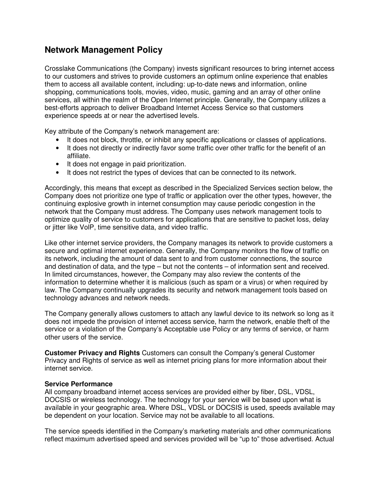# **Network Management Policy**

Crosslake Communications (the Company) invests significant resources to bring internet access to our customers and strives to provide customers an optimum online experience that enables them to access all available content, including: up-to-date news and information, online shopping, communications tools, movies, video, music, gaming and an array of other online services, all within the realm of the Open Internet principle. Generally, the Company utilizes a best-efforts approach to deliver Broadband Internet Access Service so that customers experience speeds at or near the advertised levels.

Key attribute of the Company's network management are:

- It does not block, throttle, or inhibit any specific applications or classes of applications.
- It does not directly or indirectly favor some traffic over other traffic for the benefit of an affiliate.
- It does not engage in paid prioritization.
- It does not restrict the types of devices that can be connected to its network.

Accordingly, this means that except as described in the Specialized Services section below, the Company does not prioritize one type of traffic or application over the other types, however, the continuing explosive growth in internet consumption may cause periodic congestion in the network that the Company must address. The Company uses network management tools to optimize quality of service to customers for applications that are sensitive to packet loss, delay or jitter like VolP, time sensitive data, and video traffic.

Like other internet service providers, the Company manages its network to provide customers a secure and optimal internet experience. Generally, the Company monitors the flow of traffic on its network, including the amount of data sent to and from customer connections, the source and destination of data, and the type – but not the contents – of information sent and received. In limited circumstances, however, the Company may also review the contents of the information to determine whether it is malicious (such as spam or a virus) or when required by law. The Company continually upgrades its security and network management tools based on technology advances and network needs.

The Company generally allows customers to attach any lawful device to its network so long as it does not impede the provision of internet access service, harm the network, enable theft of the service or a violation of the Company's Acceptable use Policy or any terms of service, or harm other users of the service.

**Customer Privacy and Rights** Customers can consult the Company's general Customer Privacy and Rights of service as well as internet pricing plans for more information about their internet service.

### **Service Performance**

All company broadband internet access services are provided either by fiber, DSL, VDSL, DOCSIS or wireless technology. The technology for your service will be based upon what is available in your geographic area. Where DSL, VDSL or DOCSIS is used, speeds available may be dependent on your location. Service may not be available to all locations.

The service speeds identified in the Company's marketing materials and other communications reflect maximum advertised speed and services provided will be "up to" those advertised. Actual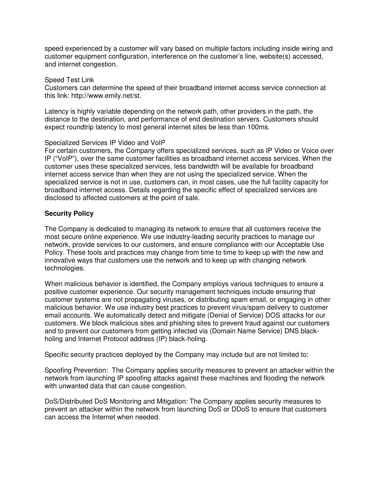speed experienced by a customer will vary based on multiple factors including inside wiring and customer equipment configuration, interference on the customer's line, website(s) accessed, and internet congestion.

#### Speed Test Link

Customers can determine the speed of their broadband internet access service connection at this link: http://www.emily.net/st.

Latency is highly variable depending on the network path, other providers in the path, the distance to the destination, and performance of end destination servers. Customers should expect roundtrip latency to most general internet sites be less than 100ms.

#### Specialized Services IP Video and VoIP

For certain customers, the Company offers specialized services, such as IP Video or Voice over IP ("VoIP"), over the same customer facilities as broadband internet access services. When the customer uses these specialized services, less bandwidth will be available for broadband internet access service than when they are not using the specialized service. When the specialized service is not in use, customers can, in most cases, use the full facility capacity for broadband internet access. Details regarding the specific effect of specialized services are disclosed to affected customers at the point of sale.

#### **Security Policy**

The Company is dedicated to managing its network to ensure that all customers receive the most secure online experience. We use industry-leading security practices to manage our network, provide services to our customers, and ensure compliance with our Acceptable Use Policy. These tools and practices may change from time to time to keep up with the new and innovative ways that customers use the network and to keep up with changing network technologies.

When malicious behavior is identified, the Company employs various techniques to ensure a positive customer experience. Our security management techniques include ensuring that customer systems are not propagating viruses, or distributing spam email, or engaging in other malicious behavior. We use industry best practices to prevent virus/spam delivery to customer email accounts. We automatically detect and mitigate (Denial of Service) DOS attacks for our customers. We block malicious sites and phishing sites to prevent fraud against our customers and to prevent our customers from getting infected via (Domain Name Service) DNS blackholing and Internet Protocol address (IP) black-holing.

Specific security practices deployed by the Company may include but are not limited to:

Spoofing Prevention: The Company applies security measures to prevent an attacker within the network from launching IP spoofing attacks against these machines and flooding the network with unwanted data that can cause congestion.

DoS/Distributed DoS Monitoring and Mitigation: The Company applies security measures to prevent an attacker within the network from launching DoS or DDoS to ensure that customers can access the Internet when needed.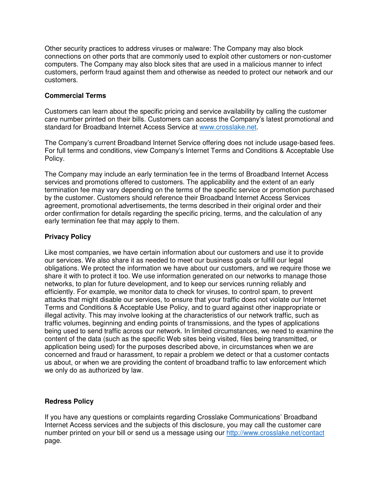Other security practices to address viruses or malware: The Company may also block connections on other ports that are commonly used to exploit other customers or non-customer computers. The Company may also block sites that are used in a malicious manner to infect customers, perform fraud against them and otherwise as needed to protect our network and our customers.

# **Commercial Terms**

Customers can learn about the specific pricing and service availability by calling the customer care number printed on their bills. Customers can access the Company's latest promotional and standard for Broadband Internet Access Service at www.crosslake.net.

The Company's current Broadband Internet Service offering does not include usage-based fees. For full terms and conditions, view Company's Internet Terms and Conditions & Acceptable Use Policy.

The Company may include an early termination fee in the terms of Broadband Internet Access services and promotions offered to customers. The applicability and the extent of an early termination fee may vary depending on the terms of the specific service or promotion purchased by the customer. Customers should reference their Broadband Internet Access Services agreement, promotional advertisements, the terms described in their original order and their order confirmation for details regarding the specific pricing, terms, and the calculation of any early termination fee that may apply to them.

# **Privacy Policy**

Like most companies, we have certain information about our customers and use it to provide our services. We also share it as needed to meet our business goals or fulfill our legal obligations. We protect the information we have about our customers, and we require those we share it with to protect it too. We use information generated on our networks to manage those networks, to plan for future development, and to keep our services running reliably and efficiently. For example, we monitor data to check for viruses, to control spam, to prevent attacks that might disable our services, to ensure that your traffic does not violate our Internet Terms and Conditions & Acceptable Use Policy, and to guard against other inappropriate or illegal activity. This may involve looking at the characteristics of our network traffic, such as traffic volumes, beginning and ending points of transmissions, and the types of applications being used to send traffic across our network. In limited circumstances, we need to examine the content of the data (such as the specific Web sites being visited, files being transmitted, or application being used) for the purposes described above, in circumstances when we are concerned and fraud or harassment, to repair a problem we detect or that a customer contacts us about, or when we are providing the content of broadband traffic to law enforcement which we only do as authorized by law.

# **Redress Policy**

If you have any questions or complaints regarding Crosslake Communications' Broadband Internet Access services and the subjects of this disclosure, you may call the customer care number printed on your bill or send us a message using our http://www.crosslake.net/contact page.